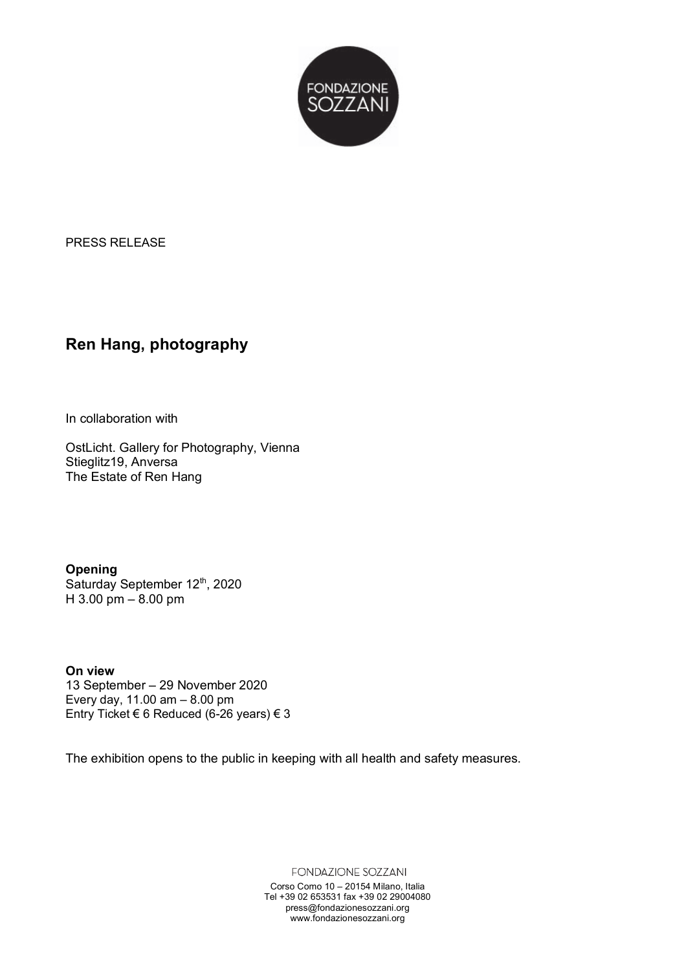

PRESS RELEASE

## **Ren Hang, photography**

In collaboration with

OstLicht. Gallery for Photography, Vienna Stieglitz19, Anversa The Estate of Ren Hang

**Opening** Saturday September 12th, 2020  $H$  3.00 pm – 8.00 pm

### **On!view**

13 September – 29 November 2020 Every day,  $11.00$  am  $-8.00$  pm Entry Ticket € 6 Reduced (6-26 years)  $€ 3$ 

The exhibition opens to the public in keeping with all health and safety measures.

FONDAZIONE SOZZANI

Corso Como 10 – 20154 Milano, Italia Tel +39 02 653531 fax +39 02 29004080 press@fondazionesozzani.org www.fondazionesozzani.org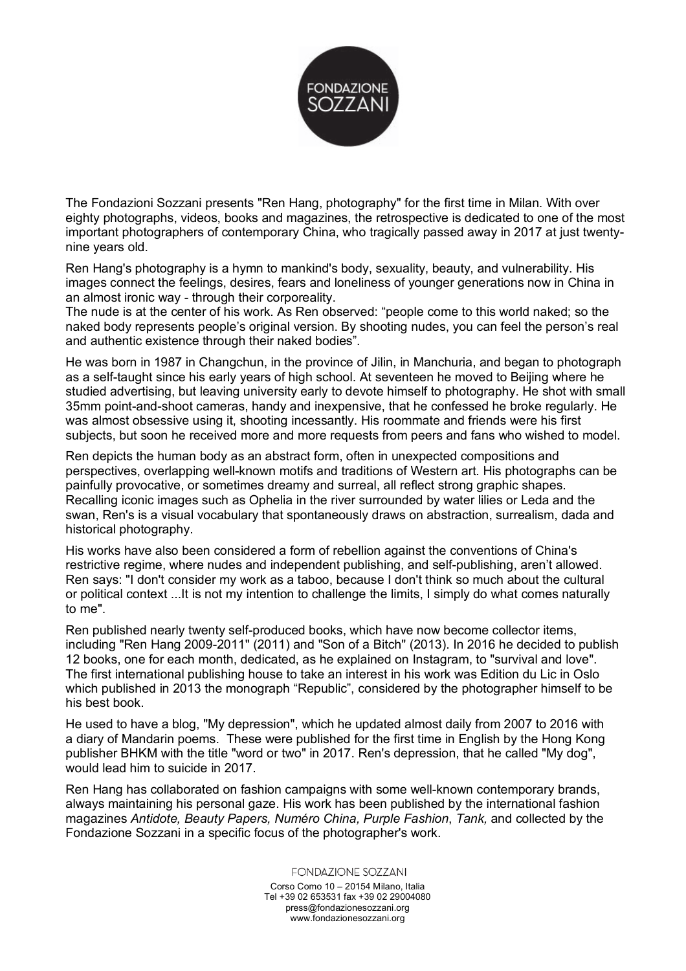

The Fondazioni Sozzani presents "Ren Hang, photography" for the first time in Milan. With over eighty photographs, videos, books and magazines, the retrospective is dedicated to one of the most important photographers of contemporary China, who tragically passed away in 2017 at just twentynine years old.

Ren Hang's photography is a hymn to mankind's body, sexuality, beauty, and vulnerability. His images connect the feelings, desires, fears and loneliness of younger generations now in China in an almost ironic way - through their corporeality.

The nude is at the center of his work. As Ren observed: "people come to this world naked; so the naked body represents people's original version. By shooting nudes, you can feel the person's real and authentic existence through their naked bodies".

He was born in 1987 in Changchun, in the province of Jilin, in Manchuria, and began to photograph as a self-taught since his early years of high school. At seventeen he moved to Beijing where he studied advertising, but leaving university early to devote himself to photography. He shot with small 35mm point-and-shoot cameras, handy and inexpensive, that he confessed he broke regularly. He was almost obsessive using it, shooting incessantly. His roommate and friends were his first subjects, but soon he received more and more requests from peers and fans who wished to model.

Ren depicts the human body as an abstract form, often in unexpected compositions and perspectives, overlapping well-known motifs and traditions of Western art. His photographs can be painfully provocative, or sometimes dreamy and surreal, all reflect strong graphic shapes. Recalling iconic images such as Ophelia in the river surrounded by water lilies or Leda and the swan, Ren's is a visual vocabulary that spontaneously draws on abstraction, surrealism, dada and historical photography.

His works have also been considered a form of rebellion against the conventions of China's restrictive regime, where nudes and independent publishing, and self-publishing, aren't allowed. Ren says: "I don't consider my work as a taboo, because I don't think so much about the cultural or political context ...It is not my intention to challenge the limits, I simply do what comes naturally to me".

Ren published nearly twenty self-produced books, which have now become collector items, including "Ren Hang 2009-2011" (2011) and "Son of a Bitch" (2013). In 2016 he decided to publish 12 books, one for each month, dedicated, as he explained on Instagram, to "survival and love". The first international publishing house to take an interest in his work was Edition du Lic in Oslo which published in 2013 the monograph "Republic", considered by the photographer himself to be his best book

He used to have a blog, "My depression", which he updated almost daily from 2007 to 2016 with a diary of Mandarin poems. These were published for the first time in English by the Hong Kong publisher BHKM with the title "word or two" in 2017. Ren's depression, that he called "My dog", would lead him to suicide in 2017.

Ren Hang has collaborated on fashion campaigns with some well-known contemporary brands, always maintaining his personal gaze. His work has been published by the international fashion magazines!*Antidote,)Beauty)Papers,)Numéro China,)Purple Fashion*, *Tank,)*and collected!by!the! Fondazione Sozzani in a specific focus of the photographer's work.

> **FONDAZIONE SOZZANI** Corso Como 10 – 20154 Milano, Italia Tel +39 02 653531 fax +39 02 29004080 press@fondazionesozzani.org www.fondazionesozzani.org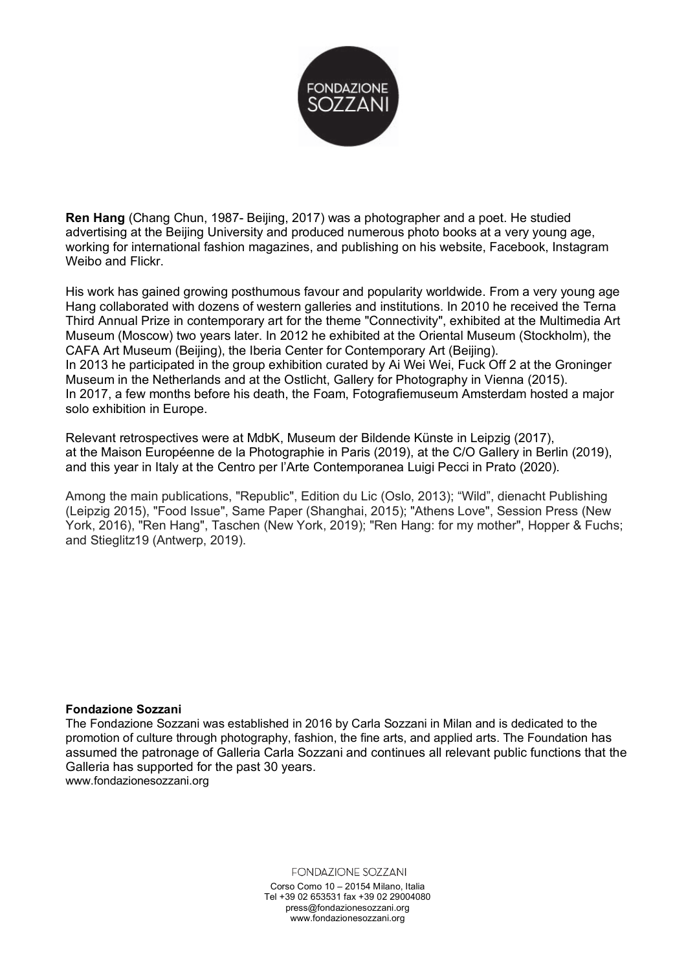

**Ren Hang** (Chang Chun, 1987- Beijing, 2017) was a photographer and a poet. He studied advertising at the Beijing University and produced numerous photo books at a very young age, working for international fashion magazines, and publishing on his website, Facebook, Instagram Weibo and Flickr.

His work has gained growing posthumous favour and popularity worldwide. From a very young age Hang collaborated with dozens of western galleries and institutions. In 2010 he received the Terna Third Annual Prize in contemporary art for the theme "Connectivity", exhibited at the Multimedia Art Museum (Moscow) two years later. In 2012 he exhibited at the Oriental Museum (Stockholm), the CAFA Art Museum (Beijing), the Iberia Center for Contemporary Art (Beijing). In 2013 he participated in the group exhibition curated by Ai Wei Wei. Fuck Off 2 at the Groninger Museum in the Netherlands and at the Ostlicht, Gallery for Photography in Vienna (2015). In 2017, a few months before his death, the Foam, Fotografiemuseum Amsterdam hosted a major solo exhibition in Europe.

Relevant retrospectives were at MdbK, Museum der Bildende Künste in Leipzig (2017), at the Maison Européenne de la Photographie in Paris (2019), at the C/O Gallery in Berlin (2019), and this year in Italy at the Centro per l'Arte Contemporanea Luigi Pecci in Prato (2020).

Among the main publications, "Republic", Edition du Lic (Oslo, 2013); "Wild", dienacht Publishing (Leipzig 2015), "Food Issue", Same Paper (Shanghai, 2015); "Athens Love", Session Press (New York, 2016), "Ren Hang", Taschen (New York, 2019); "Ren Hang: for my mother", Hopper & Fuchs; and Stieglitz19 (Antwerp, 2019).

### **Fondazione!Sozzani**

The Fondazione Sozzani was established in 2016 by Carla Sozzani in Milan and is dedicated to the promotion of culture through photography, fashion, the fine arts, and applied arts. The Foundation has assumed the patronage of Galleria Carla Sozzani and continues all relevant public functions that the Galleria has supported for the past 30 years. www.fondazionesozzani.org

**FONDAZIONE SOZZANI** 

Corso Como 10 – 20154 Milano, Italia Tel +39 02 653531 fax +39 02 29004080 press@fondazionesozzani.org www.fondazionesozzani.org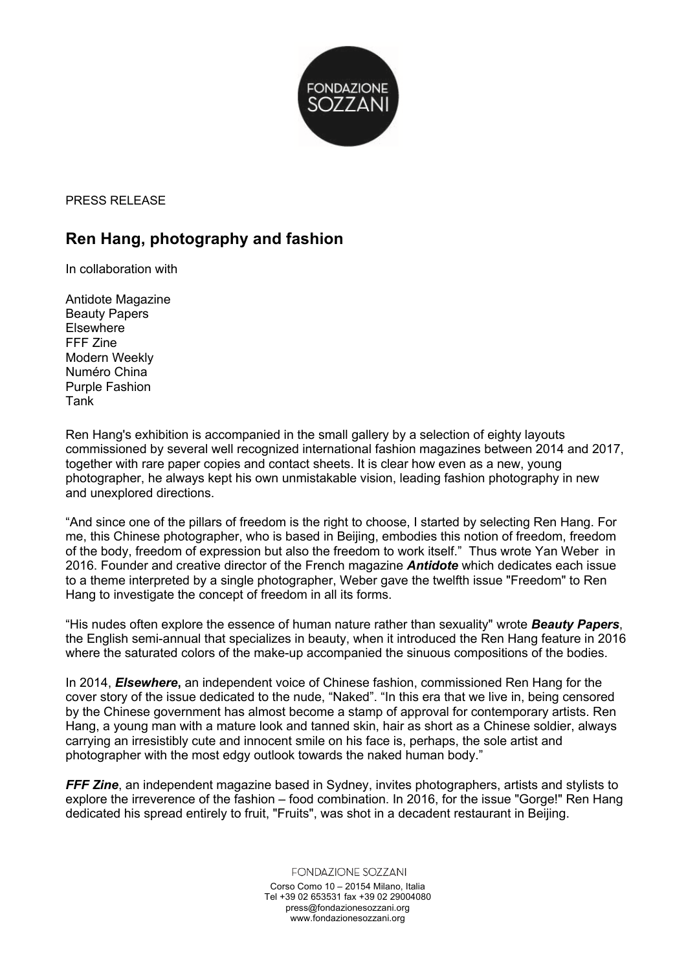

PRESS RELEASE

# **Ren Hang, photography and fashion**

In collaboration with

Antidote Magazine Beauty Papers **Elsewhere** FFF Zine Modern Weekly Numéro China Purple Fashion Tank

Ren Hang's exhibition is accompanied in the small gallery by a selection of eighty layouts commissioned by several well recognized international fashion magazines between 2014 and 2017, together with rare paper copies and contact sheets. It is clear how even as a new, young photographer, he always kept his own unmistakable vision, leading fashion photography in new and unexplored directions.

"And since one of the pillars of freedom is the right to choose, I started by selecting Ren Hang. For me, this Chinese photographer, who is based in Beijing, embodies this notion of freedom, freedom of the body, freedom of expression but also the freedom to work itself." Thus wrote Yan Weber in 2016. Founder and creative director of the French magazine *Antidote* which dedicates each issue to a theme interpreted by a single photographer, Weber gave the twelfth issue "Freedom" to Ren Hang to investigate the concept of freedom in all its forms.

"His nudes often explore the essence of human nature rather than sexuality" wrote *Beauty Papers*, the English semi-annual that specializes in beauty, when it introduced the Ren Hang feature in 2016 where the saturated colors of the make-up accompanied the sinuous compositions of the bodies.

In 2014, *Elsewhere***,** an independent voice of Chinese fashion, commissioned Ren Hang for the cover story of the issue dedicated to the nude, "Naked". "In this era that we live in, being censored by the Chinese government has almost become a stamp of approval for contemporary artists. Ren Hang, a young man with a mature look and tanned skin, hair as short as a Chinese soldier, always carrying an irresistibly cute and innocent smile on his face is, perhaps, the sole artist and photographer with the most edgy outlook towards the naked human body."

*FFF Zine*, an independent magazine based in Sydney, invites photographers, artists and stylists to explore the irreverence of the fashion – food combination. In 2016, for the issue "Gorge!" Ren Hang dedicated his spread entirely to fruit, "Fruits", was shot in a decadent restaurant in Beijing.

> **FONDAZIONE SOZZANI** Corso Como 10 – 20154 Milano, Italia Tel +39 02 653531 fax +39 02 29004080 press@fondazionesozzani.org www.fondazionesozzani.org